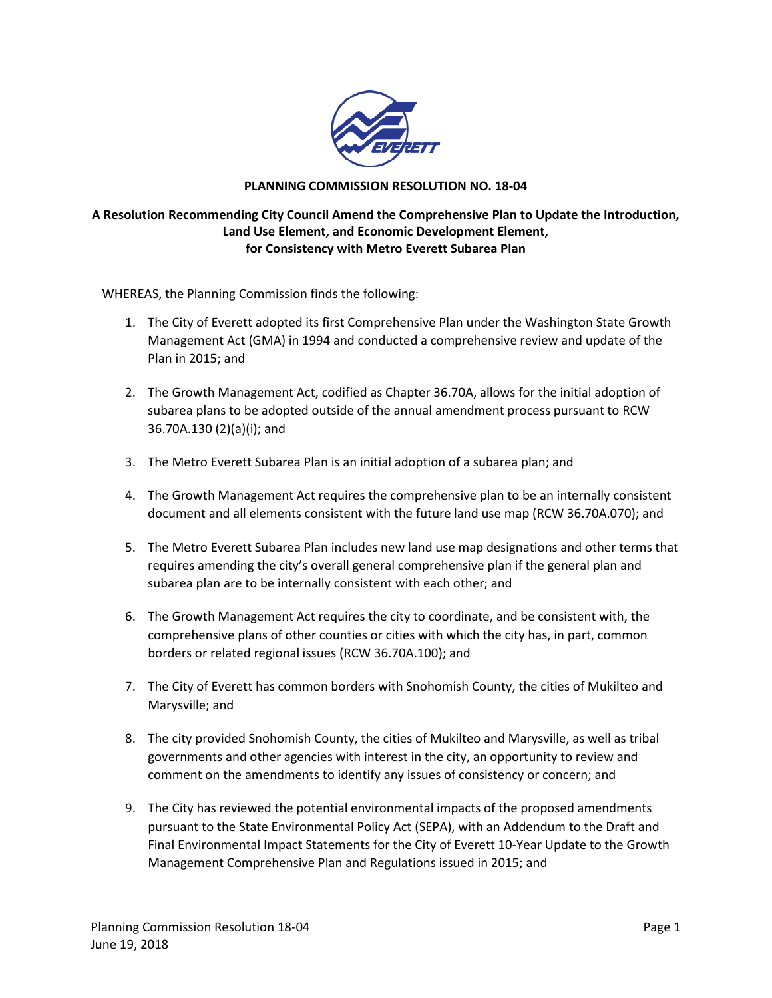

## **PLANNING COMMISSION RESOLUTION NO. 18-04**

## **A Resolution Recommending City Council Amend the Comprehensive Plan to Update the Introduction, Land Use Element, and Economic Development Element, for Consistency with Metro Everett Subarea Plan**

WHEREAS, the Planning Commission finds the following:

- 1. The City of Everett adopted its first Comprehensive Plan under the Washington State Growth Management Act (GMA) in 1994 and conducted a comprehensive review and update of the Plan in 2015; and
- 2. The Growth Management Act, codified as Chapter 36.70A, allows for the initial adoption of subarea plans to be adopted outside of the annual amendment process pursuant to RCW 36.70A.130 (2)(a)(i); and
- 3. The Metro Everett Subarea Plan is an initial adoption of a subarea plan; and
- 4. The Growth Management Act requires the comprehensive plan to be an internally consistent document and all elements consistent with the future land use map (RCW 36.70A.070); and
- 5. The Metro Everett Subarea Plan includes new land use map designations and other terms that requires amending the city's overall general comprehensive plan if the general plan and subarea plan are to be internally consistent with each other; and
- 6. The Growth Management Act requires the city to coordinate, and be consistent with, the comprehensive plans of other counties or cities with which the city has, in part, common borders or related regional issues (RCW 36.70A.100); and
- 7. The City of Everett has common borders with Snohomish County, the cities of Mukilteo and Marysville; and
- 8. The city provided Snohomish County, the cities of Mukilteo and Marysville, as well as tribal governments and other agencies with interest in the city, an opportunity to review and comment on the amendments to identify any issues of consistency or concern; and
- 9. The City has reviewed the potential environmental impacts of the proposed amendments pursuant to the State Environmental Policy Act (SEPA), with an Addendum to the Draft and Final Environmental Impact Statements for the City of Everett 10-Year Update to the Growth Management Comprehensive Plan and Regulations issued in 2015; and